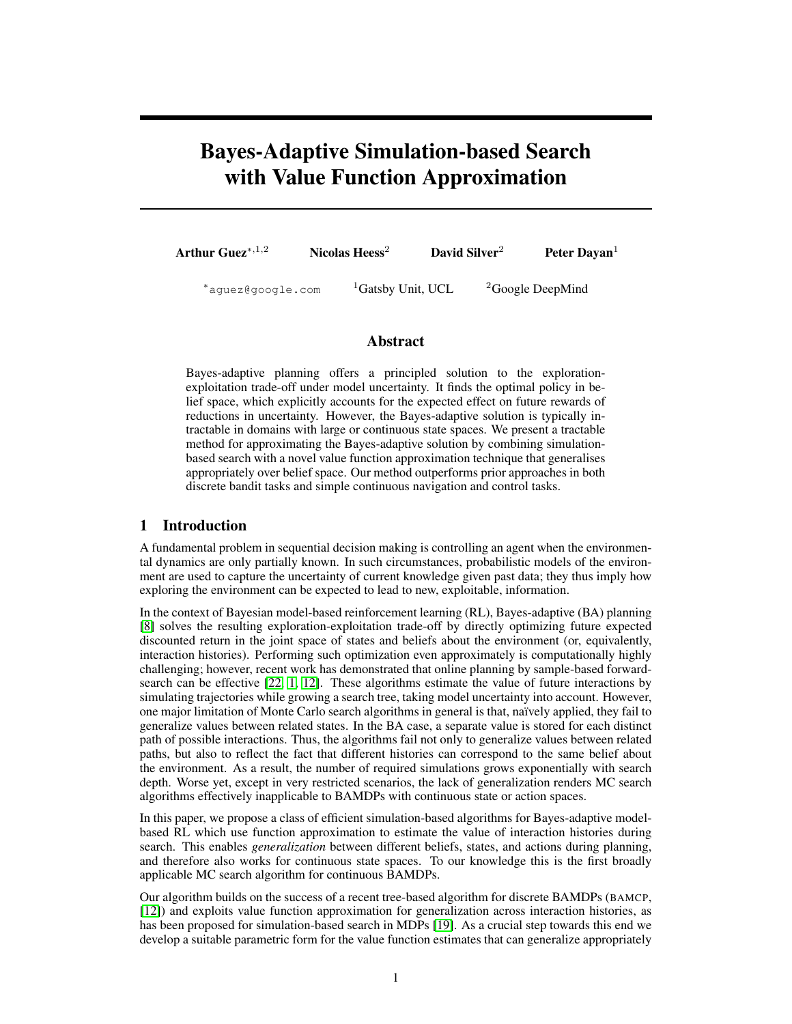# Bayes-Adaptive Simulation-based Search with Value Function Approximation

Arthur Guez<sup>\*,1,2</sup> Nicolas Heess<sup>2</sup> David Silver<sup>2</sup> Peter Dayan<sup>1</sup>

 $*$ aguez@google.com  $1$ Gatsby Unit, UCL  $2$ Google DeepMind

## Abstract

Bayes-adaptive planning offers a principled solution to the explorationexploitation trade-off under model uncertainty. It finds the optimal policy in belief space, which explicitly accounts for the expected effect on future rewards of reductions in uncertainty. However, the Bayes-adaptive solution is typically intractable in domains with large or continuous state spaces. We present a tractable method for approximating the Bayes-adaptive solution by combining simulationbased search with a novel value function approximation technique that generalises appropriately over belief space. Our method outperforms prior approaches in both discrete bandit tasks and simple continuous navigation and control tasks.

# 1 Introduction

A fundamental problem in sequential decision making is controlling an agent when the environmental dynamics are only partially known. In such circumstances, probabilistic models of the environment are used to capture the uncertainty of current knowledge given past data; they thus imply how exploring the environment can be expected to lead to new, exploitable, information.

In the context of Bayesian model-based reinforcement learning (RL), Bayes-adaptive (BA) planning [8] solves the resulting exploration-exploitation trade-off by directly optimizing future expected discounted return in the joint space of states and beliefs about the environment (or, equivalently, interaction histories). Performing such optimization even approximately is computationally highly challenging; however, recent work has demonstrated that online planning by sample-based forwardsearch can be effective [22, 1, 12]. These algorithms estimate the value of future interactions by simulating trajectories while growing a search tree, taking model uncertainty into account. However, one major limitation of Monte Carlo search algorithms in general is that, naïvely applied, they fail to generalize values between related states. In the BA case, a separate value is stored for each distinct path of possible interactions. Thus, the algorithms fail not only to generalize values between related paths, but also to reflect the fact that different histories can correspond to the same belief about the environment. As a result, the number of required simulations grows exponentially with search depth. Worse yet, except in very restricted scenarios, the lack of generalization renders MC search algorithms effectively inapplicable to BAMDPs with continuous state or action spaces.

In this paper, we propose a class of efficient simulation-based algorithms for Bayes-adaptive modelbased RL which use function approximation to estimate the value of interaction histories during search. This enables *generalization* between different beliefs, states, and actions during planning, and therefore also works for continuous state spaces. To our knowledge this is the first broadly applicable MC search algorithm for continuous BAMDPs.

Our algorithm builds on the success of a recent tree-based algorithm for discrete BAMDPs (BAMCP, [12]) and exploits value function approximation for generalization across interaction histories, as has been proposed for simulation-based search in MDPs [19]. As a crucial step towards this end we develop a suitable parametric form for the value function estimates that can generalize appropriately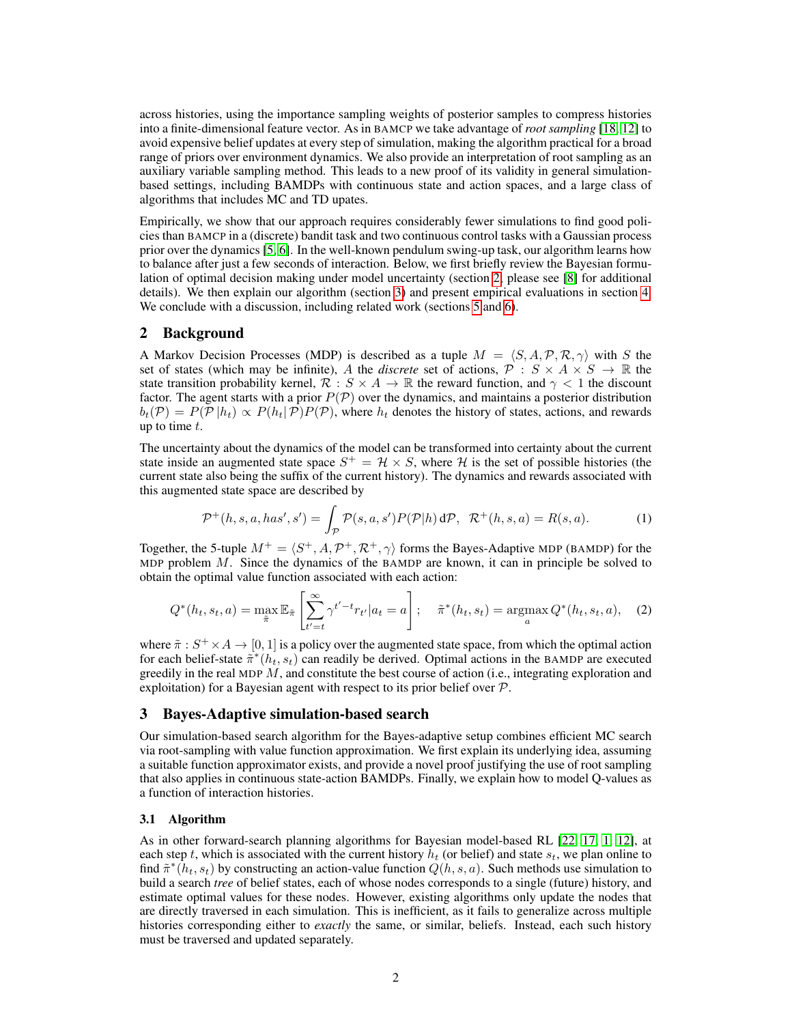across histories, using the importance sampling weights of posterior samples to compress histories into a finite-dimensional feature vector. As in BAMCP we take advantage of *root sampling* [18, 12] to avoid expensive belief updates at every step of simulation, making the algorithm practical for a broad range of priors over environment dynamics. We also provide an interpretation of root sampling as an auxiliary variable sampling method. This leads to a new proof of its validity in general simulationbased settings, including BAMDPs with continuous state and action spaces, and a large class of algorithms that includes MC and TD upates.

Empirically, we show that our approach requires considerably fewer simulations to find good policies than BAMCP in a (discrete) bandit task and two continuous control tasks with a Gaussian process prior over the dynamics [5, 6]. In the well-known pendulum swing-up task, our algorithm learns how to balance after just a few seconds of interaction. Below, we first briefly review the Bayesian formulation of optimal decision making under model uncertainty (section 2; please see [8] for additional details). We then explain our algorithm (section 3) and present empirical evaluations in section 4. We conclude with a discussion, including related work (sections 5 and 6).

## 2 Background

A Markov Decision Processes (MDP) is described as a tuple  $M = \langle S, A, P, R, \gamma \rangle$  with S the set of states (which may be infinite), A the *discrete* set of actions,  $\mathcal{P}: S \times A \times S \to \mathbb{R}$  the state transition probability kernel,  $\mathcal{R}: S \times A \to \mathbb{R}$  the reward function, and  $\gamma < 1$  the discount factor. The agent starts with a prior  $P(\mathcal{P})$  over the dynamics, and maintains a posterior distribution  $b_t(\mathcal{P}) = P(\mathcal{P} | h_t) \propto P(h_t | \mathcal{P}) P(\mathcal{P})$ , where  $h_t$  denotes the history of states, actions, and rewards up to time  $t$ .

The uncertainty about the dynamics of the model can be transformed into certainty about the current state inside an augmented state space  $S^+ = H \times S$ , where H is the set of possible histories (the current state also being the suffix of the current history). The dynamics and rewards associated with this augmented state space are described by

$$
\mathcal{P}^+(h,s,a,has',s') = \int_{\mathcal{P}} \mathcal{P}(s,a,s') P(\mathcal{P}|h) d\mathcal{P}, \ \ \mathcal{R}^+(h,s,a) = R(s,a). \tag{1}
$$

Together, the 5-tuple  $M^+ = \langle S^+, A, \mathcal{P}^+, \mathcal{R}^+, \gamma \rangle$  forms the Bayes-Adaptive MDP (BAMDP) for the MDP problem  $M$ . Since the dynamics of the BAMDP are known, it can in principle be solved to obtain the optimal value function associated with each action:

$$
Q^*(h_t, s_t, a) = \max_{\tilde{\pi}} \mathbb{E}_{\tilde{\pi}} \left[ \sum_{t'=t}^{\infty} \gamma^{t'-t} r_{t'} | a_t = a \right]; \quad \tilde{\pi}^*(h_t, s_t) = \operatorname*{argmax}_{a} Q^*(h_t, s_t, a), \quad (2)
$$

where  $\tilde{\pi}: S^+ \times A \to [0, 1]$  is a policy over the augmented state space, from which the optimal action for each belief-state  $\pi^*(h_t, s_t)$  can readily be derived. Optimal actions in the BAMDP are executed greedily in the real MDP M, and constitute the best course of action (i.e., integrating exploration and exploitation) for a Bayesian agent with respect to its prior belief over  $P$ .

## 3 Bayes-Adaptive simulation-based search

Our simulation-based search algorithm for the Bayes-adaptive setup combines efficient MC search via root-sampling with value function approximation. We first explain its underlying idea, assuming a suitable function approximator exists, and provide a novel proof justifying the use of root sampling that also applies in continuous state-action BAMDPs. Finally, we explain how to model Q-values as a function of interaction histories.

#### 3.1 Algorithm

As in other forward-search planning algorithms for Bayesian model-based RL [22, 17, 1, 12], at each step t, which is associated with the current history  $h_t$  (or belief) and state  $s_t$ , we plan online to find  $\tilde{\pi}^*(h_t, s_t)$  by constructing an action-value function  $Q(h, s, a)$ . Such methods use simulation to build a search *tree* of belief states, each of whose nodes corresponds to a single (future) history, and estimate optimal values for these nodes. However, existing algorithms only update the nodes that are directly traversed in each simulation. This is inefficient, as it fails to generalize across multiple histories corresponding either to *exactly* the same, or similar, beliefs. Instead, each such history must be traversed and updated separately.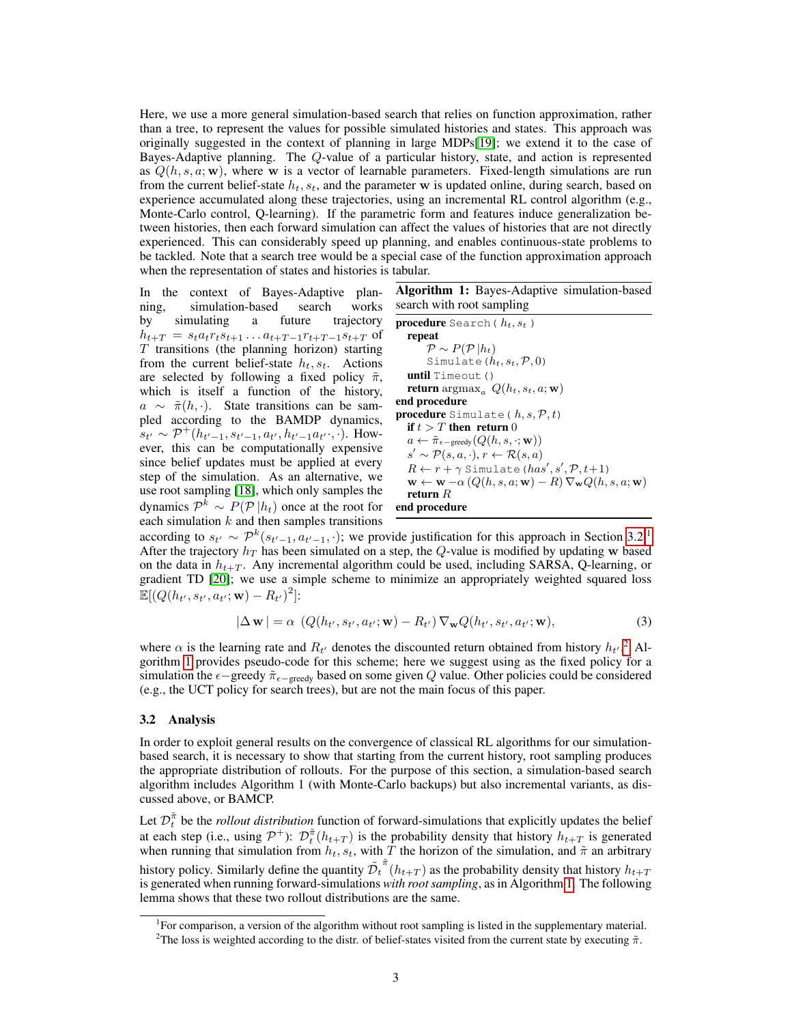Here, we use a more general simulation-based search that relies on function approximation, rather than a tree, to represent the values for possible simulated histories and states. This approach was originally suggested in the context of planning in large MDPs[19]; we extend it to the case of Bayes-Adaptive planning. The Q-value of a particular history, state, and action is represented as  $Q(h, s, a; \mathbf{w})$ , where w is a vector of learnable parameters. Fixed-length simulations are run from the current belief-state  $h_t$ ,  $s_t$ , and the parameter w is updated online, during search, based on experience accumulated along these trajectories, using an incremental RL control algorithm (e.g., Monte-Carlo control, Q-learning). If the parametric form and features induce generalization between histories, then each forward simulation can affect the values of histories that are not directly experienced. This can considerably speed up planning, and enables continuous-state problems to be tackled. Note that a search tree would be a special case of the function approximation approach when the representation of states and histories is tabular.

In the context of Bayes-Adaptive planning, simulation-based search works by simulating a future trajectory  $h_{t+T} = s_t a_t r_t s_{t+1} \dots a_{t+T-1} r_{t+T-1} s_{t+T}$  of  $T$  transitions (the planning horizon) starting from the current belief-state  $h_t$ ,  $s_t$ . Actions are selected by following a fixed policy  $\tilde{\pi}$ , which is itself a function of the history,  $a \sim \tilde{\pi}(h, \cdot)$ . State transitions can be sampled according to the BAMDP dynamics,  $s_{t'} \sim \mathcal{P}^+(h_{t'-1}, s_{t'-1}, a_{t'}, h_{t'-1}a_{t'}\cdot, \cdot)$ . However, this can be computationally expensive since belief updates must be applied at every step of the simulation. As an alternative, we use root sampling [18], which only samples the dynamics  $\mathcal{P}^k \sim P(\mathcal{P} | h_t)$  once at the root for each simulation  $k$  and then samples transitions

Algorithm 1: Bayes-Adaptive simulation-based search with root sampling

**procedure** Search ( $h_t, s_t$ ) repeat  $\mathcal{P} \sim P(\mathcal{P} | h_t)$ Simulate  $(h_t, s_t, \mathcal{P}, 0)$ until Timeout () return  $\argmax_a Q(h_t, s_t, a; \mathbf{w})$ end procedure procedure Simulate ( $h, s, \mathcal{P}, t$ ) if  $t > T$  then return 0  $a \leftarrow \tilde{\pi}_{\epsilon-\text{greedy}}(Q(h, s, \cdot; \mathbf{w}))$  $s' \sim \mathcal{P}(s, a, \cdot), r \leftarrow \mathcal{R}(s, a)$  $R \leftarrow r + \gamma$  Simulate (has', s',  $\mathcal{P}, t+1$ )  $\mathbf{w} \leftarrow \mathbf{w} - \alpha (Q(h, s, a; \mathbf{w}) - R) \nabla_{\mathbf{w}} Q(h, s, a; \mathbf{w})$ return  $R$ end procedure

according to  $s_{t'} \sim \mathcal{P}^k(s_{t'-1}, a_{t'-1}, \cdot)$ ; we provide justification for this approach in Section 3.2.<sup>1</sup> After the trajectory  $h_T$  has been simulated on a step, the Q-value is modified by updating w based on the data in  $h_{t+T}$ . Any incremental algorithm could be used, including SARSA, Q-learning, or gradient TD [20]; we use a simple scheme to minimize an appropriately weighted squared loss  $\mathbb{E}[(Q(h_{t'}, s_{t'}, a_{t'}; \mathbf{w}) - R_{t'})^2]$ :

$$
|\Delta \mathbf{w}| = \alpha \left( Q(h_{t'}, s_{t'}, a_{t'}; \mathbf{w}) - R_{t'} \right) \nabla_{\mathbf{w}} Q(h_{t'}, s_{t'}, a_{t'}; \mathbf{w}), \tag{3}
$$

where  $\alpha$  is the learning rate and  $R_{t'}$  denotes the discounted return obtained from history  $h_{t'}$ .<sup>2</sup> Algorithm 1 provides pseudo-code for this scheme; here we suggest using as the fixed policy for a simulation the  $\epsilon$ -greedy  $\tilde{\pi}_{\epsilon$ -greedy based on some given Q value. Other policies could be considered (e.g., the UCT policy for search trees), but are not the main focus of this paper.

#### 3.2 Analysis

In order to exploit general results on the convergence of classical RL algorithms for our simulationbased search, it is necessary to show that starting from the current history, root sampling produces the appropriate distribution of rollouts. For the purpose of this section, a simulation-based search algorithm includes Algorithm 1 (with Monte-Carlo backups) but also incremental variants, as discussed above, or BAMCP.

Let  $\mathcal{D}_t^{\tilde{\pi}}$  be the *rollout distribution* function of forward-simulations that explicitly updates the belief at each step (i.e., using  $\mathcal{P}^+$ ):  $\mathcal{D}_t^{\tilde{\pi}}(h_{t+T})$  is the probability density that history  $h_{t+T}$  is generated when running that simulation from  $h_t$ ,  $s_t$ , with T the horizon of the simulation, and  $\tilde{\pi}$  an arbitrary history policy. Similarly define the quantity  $\tilde{\mathcal{D}_t}$  $\pi^*(h_{t+T})$  as the probability density that history  $h_{t+T}$ is generated when running forward-simulations *with root sampling*, as in Algorithm 1. The following lemma shows that these two rollout distributions are the same.

<sup>&</sup>lt;sup>1</sup>For comparison, a version of the algorithm without root sampling is listed in the supplementary material. <sup>2</sup>The loss is weighted according to the distr. of belief-states visited from the current state by executing  $\tilde{\pi}$ .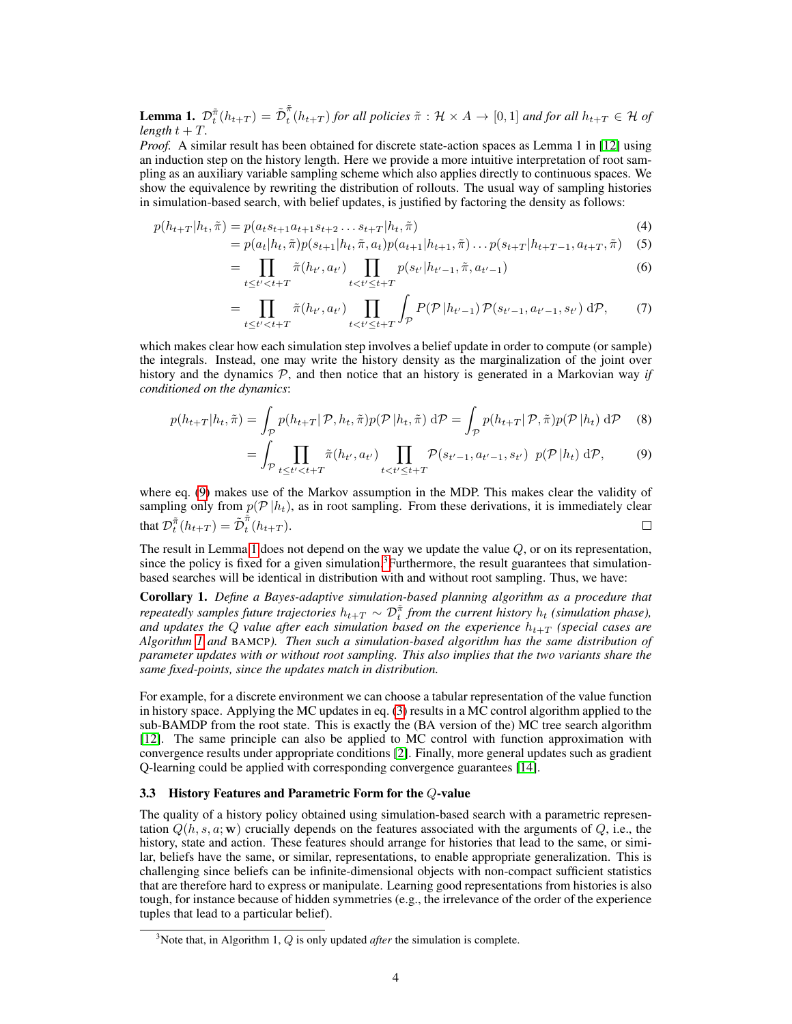**Lemma 1.**  $\mathcal{D}_t^{\tilde{\pi}}(h_{t+T}) = \tilde{\mathcal{D}}_t^{\tilde{\pi}}$  $t_t^h(h_{t+T})$  *for all policies*  $\tilde{\pi}: \mathcal{H} \times A \rightarrow [0,1]$  *and for all*  $h_{t+T} \in \mathcal{H}$  *of length*  $t + T$ *.* 

*Proof.* A similar result has been obtained for discrete state-action spaces as Lemma 1 in [12] using an induction step on the history length. Here we provide a more intuitive interpretation of root sampling as an auxiliary variable sampling scheme which also applies directly to continuous spaces. We show the equivalence by rewriting the distribution of rollouts. The usual way of sampling histories in simulation-based search, with belief updates, is justified by factoring the density as follows:

$$
p(h_{t+T}|h_t, \tilde{\pi}) = p(a_t s_{t+1} a_{t+1} s_{t+2} \dots s_{t+T} | h_t, \tilde{\pi})
$$
\n(4)

=

$$
= p(a_t|h_t, \tilde{\pi})p(s_{t+1}|h_t, \tilde{\pi}, a_t)p(a_{t+1}|h_{t+1}, \tilde{\pi})\dots p(s_{t+T}|h_{t+T-1}, a_{t+T}, \tilde{\pi}) \quad (5)
$$

$$
= \prod_{t \le t' < t+T} \tilde{\pi}(h_{t'}, a_{t'}) \prod_{t < t' \le t+T} p(s_{t'} | h_{t'-1}, \tilde{\pi}, a_{t'-1}) \tag{6}
$$

$$
= \prod_{t \le t' < t+T} \tilde{\pi}(h_{t'}, a_{t'}) \prod_{t < t' \le t+T} \int_{\mathcal{P}} P(\mathcal{P} | h_{t'-1}) \, \mathcal{P}(s_{t'-1}, a_{t'-1}, s_{t'}) \, d\mathcal{P}, \tag{7}
$$

which makes clear how each simulation step involves a belief update in order to compute (or sample) the integrals. Instead, one may write the history density as the marginalization of the joint over history and the dynamics  $P$ , and then notice that an history is generated in a Markovian way *if conditioned on the dynamics*:

$$
p(h_{t+T}|h_t, \tilde{\pi}) = \int_{\mathcal{P}} p(h_{t+T}|\mathcal{P}, h_t, \tilde{\pi}) p(\mathcal{P}|h_t, \tilde{\pi}) \, d\mathcal{P} = \int_{\mathcal{P}} p(h_{t+T}|\mathcal{P}, \tilde{\pi}) p(\mathcal{P}|h_t) \, d\mathcal{P} \tag{8}
$$

$$
= \int_{\mathcal{P}} \prod_{t \le t' < t+T} \tilde{\pi}(h_{t'}, a_{t'}) \prod_{t < t' \le t+T} \mathcal{P}(s_{t'-1}, a_{t'-1}, s_{t'}) \ p(\mathcal{P}|h_t) \ d\mathcal{P}, \tag{9}
$$

where eq. (9) makes use of the Markov assumption in the MDP. This makes clear the validity of sampling only from  $p(\mathcal{P} | h_t)$ , as in root sampling. From these derivations, it is immediately clear that  $\mathcal{D}_t^{\tilde{\pi}}(h_{t+T}) = \tilde{\mathcal{D}}_t^{\tilde{\pi}}$  $\Box$  $\int_{t}^{n}(h_{t+T}).$ 

The result in Lemma 1 does not depend on the way we update the value Q, or on its representation, since the policy is fixed for a given simulation.<sup>3</sup>Furthermore, the result guarantees that simulationbased searches will be identical in distribution with and without root sampling. Thus, we have:

Corollary 1. *Define a Bayes-adaptive simulation-based planning algorithm as a procedure that repeatedly samples future trajectories*  $h_{t+T} \sim \mathcal{D}_t^{\tilde{\pi}}$  *from the current history*  $h_t$  *(simulation phase),* and updates the Q value after each simulation based on the experience  $h_{t+T}$  *(special cases are Algorithm 1 and* BAMCP*). Then such a simulation-based algorithm has the same distribution of parameter updates with or without root sampling. This also implies that the two variants share the same fixed-points, since the updates match in distribution.*

For example, for a discrete environment we can choose a tabular representation of the value function in history space. Applying the MC updates in eq. (3) results in a MC control algorithm applied to the sub-BAMDP from the root state. This is exactly the (BA version of the) MC tree search algorithm [12]. The same principle can also be applied to MC control with function approximation with convergence results under appropriate conditions [2]. Finally, more general updates such as gradient Q-learning could be applied with corresponding convergence guarantees [14].

#### 3.3 History Features and Parametric Form for the Q-value

The quality of a history policy obtained using simulation-based search with a parametric representation  $Q(h, s, a; \mathbf{w})$  crucially depends on the features associated with the arguments of  $Q$ , i.e., the history, state and action. These features should arrange for histories that lead to the same, or similar, beliefs have the same, or similar, representations, to enable appropriate generalization. This is challenging since beliefs can be infinite-dimensional objects with non-compact sufficient statistics that are therefore hard to express or manipulate. Learning good representations from histories is also tough, for instance because of hidden symmetries (e.g., the irrelevance of the order of the experience tuples that lead to a particular belief).

<sup>&</sup>lt;sup>3</sup>Note that, in Algorithm 1,  $Q$  is only updated *after* the simulation is complete.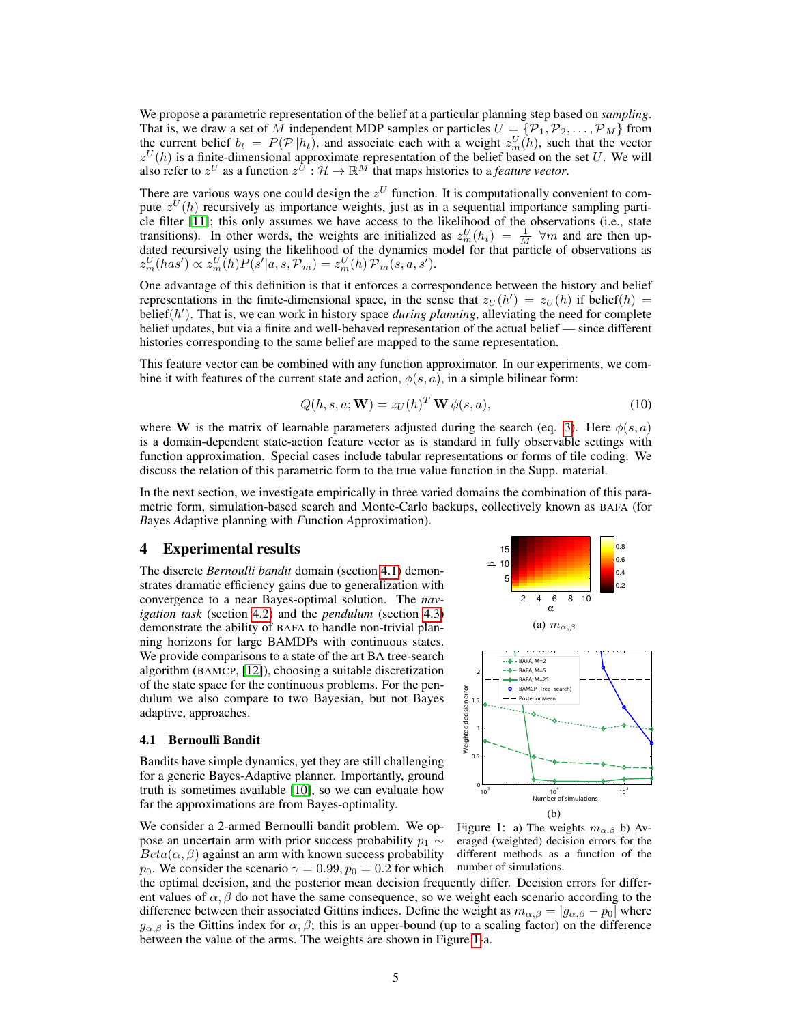We propose a parametric representation of the belief at a particular planning step based on *sampling*. That is, we draw a set of M independent MDP samples or particles  $U = \{P_1, P_2, \ldots, P_M\}$  from the current belief  $b_t = P(\mathcal{P}|h_t)$ , and associate each with a weight  $z_m^U(h)$ , such that the vector  $z^U(h)$  is a finite-dimensional approximate representation of the belief based on the set U. We will also refer to  $z^U$  as a function  $z^{U^*}$ :  $\mathcal{H} \to \mathbb{R}^M$  that maps histories to a *feature vector*.

There are various ways one could design the  $z^U$  function. It is computationally convenient to compute  $z^U(h)$  recursively as importance weights, just as in a sequential importance sampling particle filter [11]; this only assumes we have access to the likelihood of the observations (i.e., state transitions). In other words, the weights are initialized as  $z_m^U(h_t) = \frac{1}{M}$   $\forall m$  and are then updated recursively using the likelihood of the dynamics model for that particle of observations as  $z_m^U(has') \propto z_m^U(h)P(s'|a,s,\mathcal{P}_m) = z_m^U(h)\mathcal{P}_m(s,a,s').$ 

One advantage of this definition is that it enforces a correspondence between the history and belief representations in the finite-dimensional space, in the sense that  $z_U(h') = z_U(h)$  if belief(h) =  $belief(h')$ . That is, we can work in history space *during planning*, alleviating the need for complete belief updates, but via a finite and well-behaved representation of the actual belief — since different histories corresponding to the same belief are mapped to the same representation.

This feature vector can be combined with any function approximator. In our experiments, we combine it with features of the current state and action,  $\phi(s, a)$ , in a simple bilinear form:

$$
Q(h, s, a; \mathbf{W}) = z_U(h)^T \mathbf{W} \phi(s, a), \qquad (10)
$$

where W is the matrix of learnable parameters adjusted during the search (eq. 3). Here  $\phi(s, a)$ is a domain-dependent state-action feature vector as is standard in fully observable settings with function approximation. Special cases include tabular representations or forms of tile coding. We discuss the relation of this parametric form to the true value function in the Supp. material.

In the next section, we investigate empirically in three varied domains the combination of this parametric form, simulation-based search and Monte-Carlo backups, collectively known as BAFA (for *B*ayes *A*daptive planning with *F*unction *A*pproximation).

## 4 Experimental results

The discrete *Bernoulli bandit* domain (section 4.1) demonstrates dramatic efficiency gains due to generalization with convergence to a near Bayes-optimal solution. The *navigation task* (section 4.2) and the *pendulum* (section 4.3) demonstrate the ability of BAFA to handle non-trivial planning horizons for large BAMDPs with continuous states. We provide comparisons to a state of the art BA tree-search algorithm (BAMCP, [12]), choosing a suitable discretization of the state space for the continuous problems. For the pendulum we also compare to two Bayesian, but not Bayes adaptive, approaches.

#### 4.1 Bernoulli Bandit

Bandits have simple dynamics, yet they are still challenging for a generic Bayes-Adaptive planner. Importantly, ground truth is sometimes available [10], so we can evaluate how far the approximations are from Bayes-optimality.

We consider a 2-armed Bernoulli bandit problem. We oppose an uncertain arm with prior success probability  $p_1 \sim$  $Beta(\alpha, \beta)$  against an arm with known success probability  $p_0$ . We consider the scenario  $\gamma = 0.99, p_0 = 0.2$  for which







Figure 1: a) The weights  $m_{\alpha,\beta}$  b) Averaged (weighted) decision errors for the different methods as a function of the number of simulations.

the optimal decision, and the posterior mean decision frequently differ. Decision errors for different values of  $\alpha$ ,  $\beta$  do not have the same consequence, so we weight each scenario according to the difference between their associated Gittins indices. Define the weight as  $m_{\alpha,\beta} = |g_{\alpha,\beta} - p_0|$  where  $g_{\alpha,\beta}$  is the Gittins index for  $\alpha,\beta$ ; this is an upper-bound (up to a scaling factor) on the difference between the value of the arms. The weights are shown in Figure 1-a.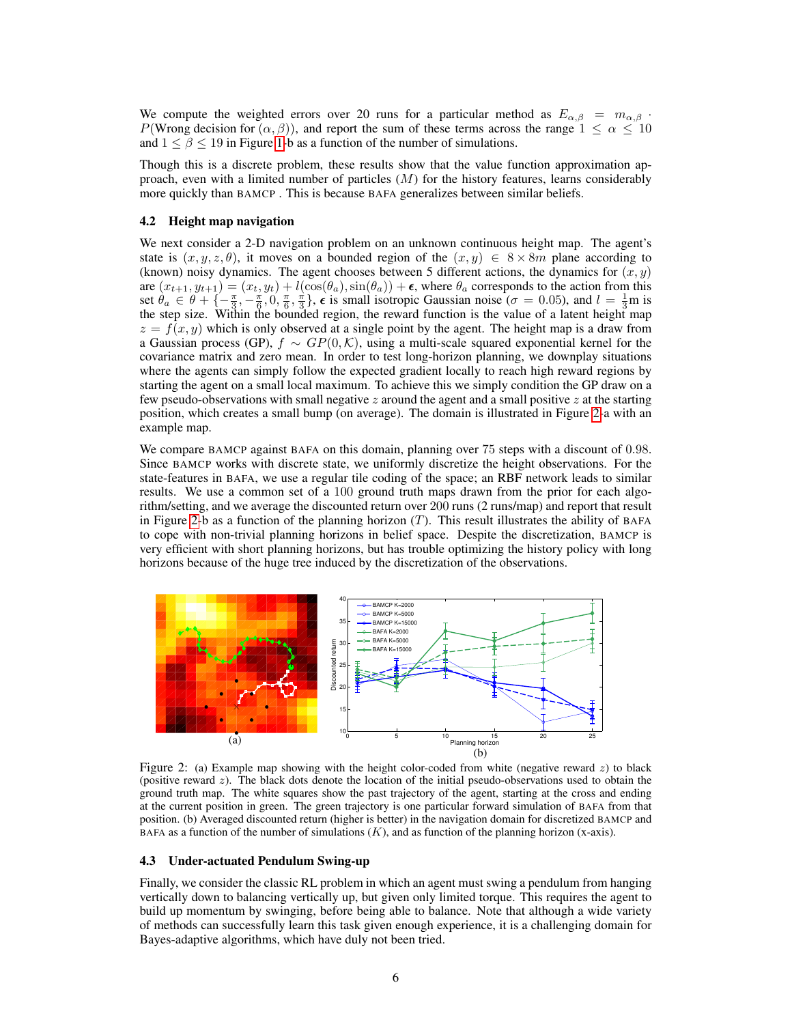We compute the weighted errors over 20 runs for a particular method as  $E_{\alpha,\beta} = m_{\alpha,\beta}$ . P(Wrong decision for  $(\alpha, \beta)$ ), and report the sum of these terms across the range  $1 \leq \alpha \leq 10$ and  $1 \leq \beta \leq 19$  in Figure 1-b as a function of the number of simulations.

Though this is a discrete problem, these results show that the value function approximation approach, even with a limited number of particles  $(M)$  for the history features, learns considerably more quickly than BAMCP . This is because BAFA generalizes between similar beliefs.

#### 4.2 Height map navigation

We next consider a 2-D navigation problem on an unknown continuous height map. The agent's state is  $(x, y, z, \theta)$ , it moves on a bounded region of the  $(x, y) \in 8 \times 8m$  plane according to (known) noisy dynamics. The agent chooses between 5 different actions, the dynamics for  $(x, y)$ are  $(x_{t+1}, y_{t+1}) = (x_t, y_t) + l(\cos(\theta_a), \sin(\theta_a)) + \epsilon$ , where  $\theta_a$  corresponds to the action from this set  $\theta_a \in \theta + \{-\frac{\pi}{3}, -\frac{\pi}{6}, 0, \frac{\pi}{6}, \frac{\pi}{3}\},\epsilon$  is small isotropic Gaussian noise ( $\sigma = 0.05$ ), and  $l = \frac{1}{3}$ m is the step size. Within the bounded region, the reward function is the value of a latent height map  $z = f(x, y)$  which is only observed at a single point by the agent. The height map is a draw from a Gaussian process (GP),  $f \sim GP(0, K)$ , using a multi-scale squared exponential kernel for the covariance matrix and zero mean. In order to test long-horizon planning, we downplay situations where the agents can simply follow the expected gradient locally to reach high reward regions by starting the agent on a small local maximum. To achieve this we simply condition the GP draw on a few pseudo-observations with small negative  $z$  around the agent and a small positive  $z$  at the starting position, which creates a small bump (on average). The domain is illustrated in Figure 2-a with an example map.

We compare BAMCP against BAFA on this domain, planning over 75 steps with a discount of 0.98. Since BAMCP works with discrete state, we uniformly discretize the height observations. For the state-features in BAFA, we use a regular tile coding of the space; an RBF network leads to similar results. We use a common set of a 100 ground truth maps drawn from the prior for each algorithm/setting, and we average the discounted return over 200 runs (2 runs/map) and report that result in Figure 2-b as a function of the planning horizon  $(T)$ . This result illustrates the ability of BAFA to cope with non-trivial planning horizons in belief space. Despite the discretization, BAMCP is very efficient with short planning horizons, but has trouble optimizing the history policy with long horizons because of the huge tree induced by the discretization of the observations.



Figure 2: (a) Example map showing with the height color-coded from white (negative reward  $z$ ) to black (positive reward  $z$ ). The black dots denote the location of the initial pseudo-observations used to obtain the ground truth map. The white squares show the past trajectory of the agent, starting at the cross and ending at the current position in green. The green trajectory is one particular forward simulation of BAFA from that position. (b) Averaged discounted return (higher is better) in the navigation domain for discretized BAMCP and BAFA as a function of the number of simulations  $(K)$ , and as function of the planning horizon (x-axis).

#### 4.3 Under-actuated Pendulum Swing-up

Finally, we consider the classic RL problem in which an agent must swing a pendulum from hanging vertically down to balancing vertically up, but given only limited torque. This requires the agent to build up momentum by swinging, before being able to balance. Note that although a wide variety of methods can successfully learn this task given enough experience, it is a challenging domain for Bayes-adaptive algorithms, which have duly not been tried.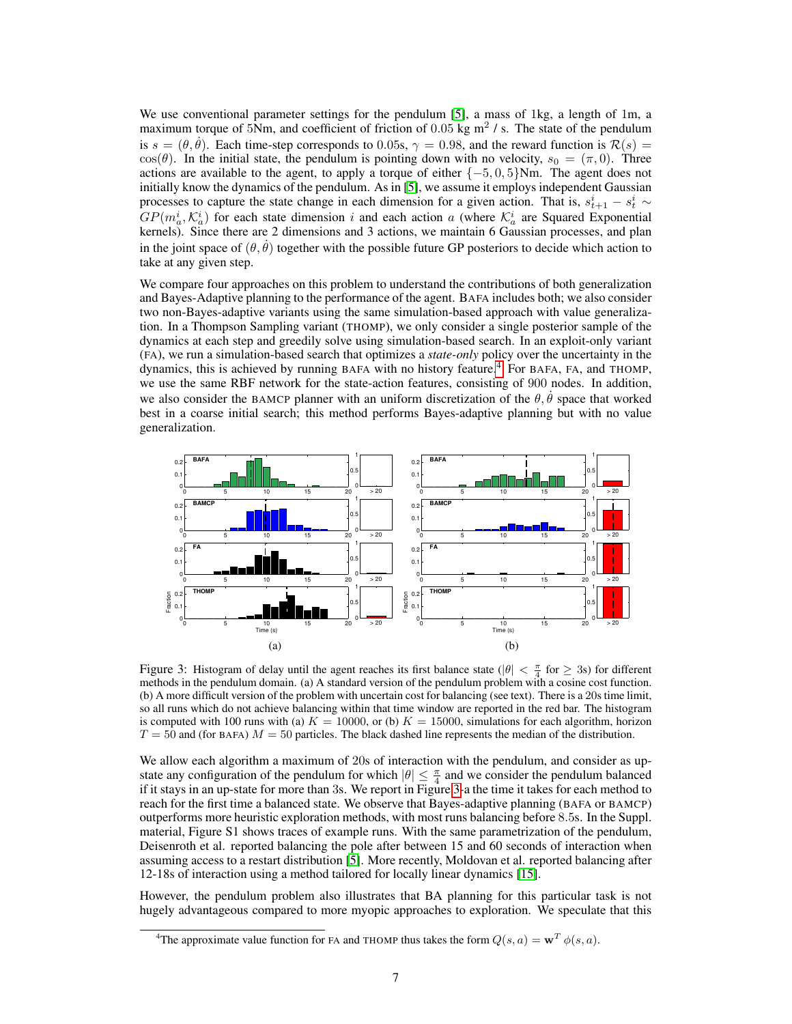We use conventional parameter settings for the pendulum [5], a mass of 1kg, a length of 1m, a maximum torque of 5Nm, and coefficient of friction of 0.05 kg  $m^2$  / s. The state of the pendulum is  $s = (\theta, \dot{\theta})$ . Each time-step corresponds to 0.05s,  $\gamma = 0.98$ , and the reward function is  $\mathcal{R}(s) =$  $\cos(\theta)$ . In the initial state, the pendulum is pointing down with no velocity,  $s_0 = (\pi, 0)$ . Three actions are available to the agent, to apply a torque of either  $\{-5, 0, 5\}$ Nm. The agent does not initially know the dynamics of the pendulum. As in [5], we assume it employs independent Gaussian processes to capture the state change in each dimension for a given action. That is,  $s_{t+1}^i - s_t^i \sim$  $GP(m_a^i, \mathcal{K}_a^i)$  for each state dimension i and each action a (where  $\mathcal{K}_a^i$  are Squared Exponential kernels). Since there are 2 dimensions and 3 actions, we maintain 6 Gaussian processes, and plan in the joint space of  $(\theta, \theta)$  together with the possible future GP posteriors to decide which action to take at any given step.

We compare four approaches on this problem to understand the contributions of both generalization and Bayes-Adaptive planning to the performance of the agent. BAFA includes both; we also consider two non-Bayes-adaptive variants using the same simulation-based approach with value generalization. In a Thompson Sampling variant (THOMP), we only consider a single posterior sample of the dynamics at each step and greedily solve using simulation-based search. In an exploit-only variant (FA), we run a simulation-based search that optimizes a *state-only* policy over the uncertainty in the dynamics, this is achieved by running BAFA with no history feature.<sup>4</sup> For BAFA, FA, and THOMP, we use the same RBF network for the state-action features, consisting of 900 nodes. In addition, we also consider the BAMCP planner with an uniform discretization of the  $\theta$ ,  $\theta$  space that worked best in a coarse initial search; this method performs Bayes-adaptive planning but with no value generalization.



Figure 3: Histogram of delay until the agent reaches its first balance state ( $|\theta| < \frac{\pi}{4}$  for  $\geq 3$ s) for different methods in the pendulum domain. (a) A standard version of the pendulum problem with a cosine cost function. (b) A more difficult version of the problem with uncertain cost for balancing (see text). There is a 20s time limit, so all runs which do not achieve balancing within that time window are reported in the red bar. The histogram is computed with 100 runs with (a)  $K = 10000$ , or (b)  $K = 15000$ , simulations for each algorithm, horizon  $T = 50$  and (for BAFA)  $M = 50$  particles. The black dashed line represents the median of the distribution.

We allow each algorithm a maximum of 20s of interaction with the pendulum, and consider as upstate any configuration of the pendulum for which  $|\theta| \leq \frac{\pi}{4}$  and we consider the pendulum balanced if it stays in an up-state for more than 3s. We report in Figure 3-a the time it takes for each method to reach for the first time a balanced state. We observe that Bayes-adaptive planning (BAFA or BAMCP) outperforms more heuristic exploration methods, with most runs balancing before 8.5s. In the Suppl. material, Figure S1 shows traces of example runs. With the same parametrization of the pendulum, Deisenroth et al. reported balancing the pole after between 15 and 60 seconds of interaction when assuming access to a restart distribution [5]. More recently, Moldovan et al. reported balancing after 12-18s of interaction using a method tailored for locally linear dynamics [15].

However, the pendulum problem also illustrates that BA planning for this particular task is not hugely advantageous compared to more myopic approaches to exploration. We speculate that this

<sup>&</sup>lt;sup>4</sup>The approximate value function for FA and THOMP thus takes the form  $Q(s, a) = \mathbf{w}^T \phi(s, a)$ .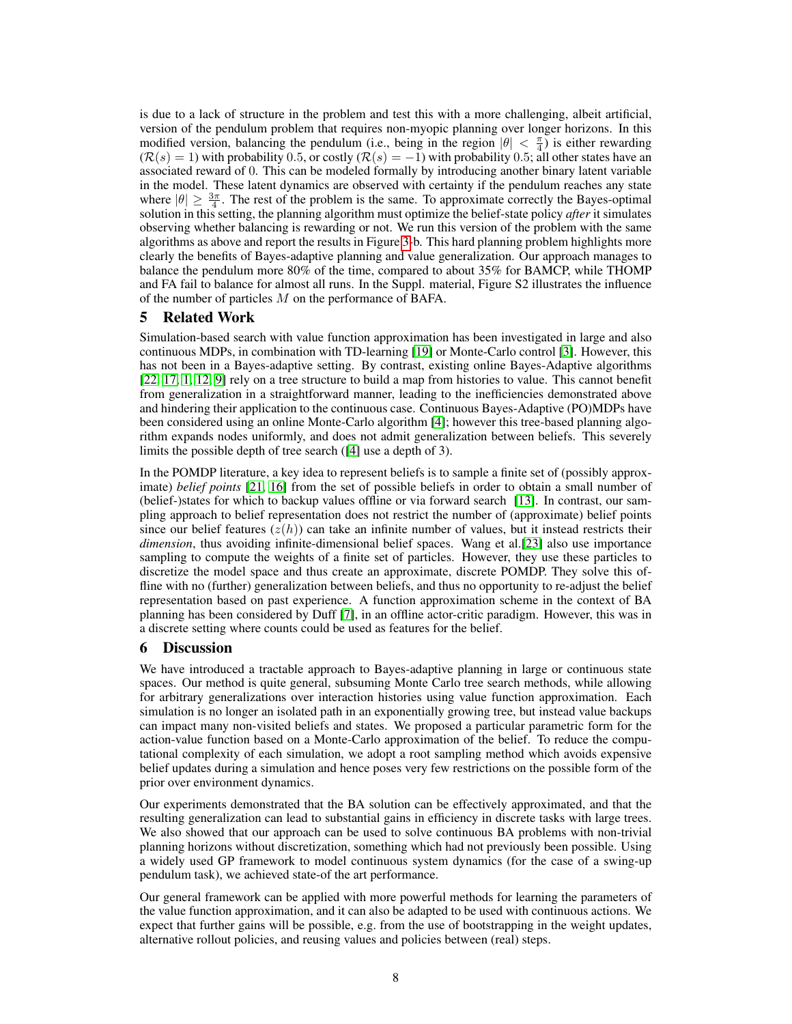is due to a lack of structure in the problem and test this with a more challenging, albeit artificial, version of the pendulum problem that requires non-myopic planning over longer horizons. In this modified version, balancing the pendulum (i.e., being in the region  $|\theta| < \frac{\pi}{4}$ ) is either rewarding  $(R(s) = 1)$  with probability 0.5, or costly  $(R(s) = -1)$  with probability 0.5; all other states have an associated reward of 0. This can be modeled formally by introducing another binary latent variable in the model. These latent dynamics are observed with certainty if the pendulum reaches any state where  $|\theta| \geq \frac{3\pi}{4}$ . The rest of the problem is the same. To approximate correctly the Bayes-optimal solution in this setting, the planning algorithm must optimize the belief-state policy *after* it simulates observing whether balancing is rewarding or not. We run this version of the problem with the same algorithms as above and report the results in Figure 3-b. This hard planning problem highlights more clearly the benefits of Bayes-adaptive planning and value generalization. Our approach manages to balance the pendulum more 80% of the time, compared to about 35% for BAMCP, while THOMP and FA fail to balance for almost all runs. In the Suppl. material, Figure S2 illustrates the influence of the number of particles M on the performance of BAFA.

# 5 Related Work

Simulation-based search with value function approximation has been investigated in large and also continuous MDPs, in combination with TD-learning [19] or Monte-Carlo control [3]. However, this has not been in a Bayes-adaptive setting. By contrast, existing online Bayes-Adaptive algorithms [22, 17, 1, 12, 9] rely on a tree structure to build a map from histories to value. This cannot benefit from generalization in a straightforward manner, leading to the inefficiencies demonstrated above and hindering their application to the continuous case. Continuous Bayes-Adaptive (PO)MDPs have been considered using an online Monte-Carlo algorithm [4]; however this tree-based planning algorithm expands nodes uniformly, and does not admit generalization between beliefs. This severely limits the possible depth of tree search ([4] use a depth of 3).

In the POMDP literature, a key idea to represent beliefs is to sample a finite set of (possibly approximate) *belief points* [21, 16] from the set of possible beliefs in order to obtain a small number of (belief-)states for which to backup values offline or via forward search [13]. In contrast, our sampling approach to belief representation does not restrict the number of (approximate) belief points since our belief features  $(z(h))$  can take an infinite number of values, but it instead restricts their *dimension*, thus avoiding infinite-dimensional belief spaces. Wang et al.[23] also use importance sampling to compute the weights of a finite set of particles. However, they use these particles to discretize the model space and thus create an approximate, discrete POMDP. They solve this offline with no (further) generalization between beliefs, and thus no opportunity to re-adjust the belief representation based on past experience. A function approximation scheme in the context of BA planning has been considered by Duff [7], in an offline actor-critic paradigm. However, this was in a discrete setting where counts could be used as features for the belief.

# 6 Discussion

We have introduced a tractable approach to Bayes-adaptive planning in large or continuous state spaces. Our method is quite general, subsuming Monte Carlo tree search methods, while allowing for arbitrary generalizations over interaction histories using value function approximation. Each simulation is no longer an isolated path in an exponentially growing tree, but instead value backups can impact many non-visited beliefs and states. We proposed a particular parametric form for the action-value function based on a Monte-Carlo approximation of the belief. To reduce the computational complexity of each simulation, we adopt a root sampling method which avoids expensive belief updates during a simulation and hence poses very few restrictions on the possible form of the prior over environment dynamics.

Our experiments demonstrated that the BA solution can be effectively approximated, and that the resulting generalization can lead to substantial gains in efficiency in discrete tasks with large trees. We also showed that our approach can be used to solve continuous BA problems with non-trivial planning horizons without discretization, something which had not previously been possible. Using a widely used GP framework to model continuous system dynamics (for the case of a swing-up pendulum task), we achieved state-of the art performance.

Our general framework can be applied with more powerful methods for learning the parameters of the value function approximation, and it can also be adapted to be used with continuous actions. We expect that further gains will be possible, e.g. from the use of bootstrapping in the weight updates, alternative rollout policies, and reusing values and policies between (real) steps.